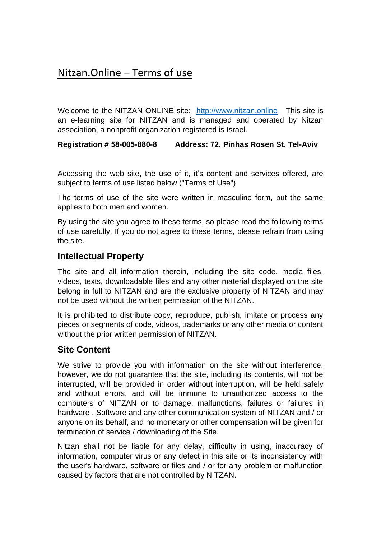# Nitzan.Online – Terms of use

Welcome to the NITZAN ONLINE site: [http://www.nitzan.online](http://www.nitzan.online/) This site is an e-learning site for NITZAN and is managed and operated by Nitzan association, a nonprofit organization registered is Israel.

**Registration # 58-005-880-8 Address: 72, Pinhas Rosen St. Tel-Aviv** 

Accessing the web site, the use of it, it's content and services offered, are subject to terms of use listed below ("Terms of Use")

The terms of use of the site were written in masculine form, but the same applies to both men and women.

By using the site you agree to these terms, so please read the following terms of use carefully. If you do not agree to these terms, please refrain from using the site.

### **Intellectual Property**

The site and all information therein, including the site code, media files, videos, texts, downloadable files and any other material displayed on the site belong in full to NITZAN and are the exclusive property of NITZAN and may not be used without the written permission of the NITZAN.

It is prohibited to distribute copy, reproduce, publish, imitate or process any pieces or segments of code, videos, trademarks or any other media or content without the prior written permission of NITZAN.

### **Site Content**

We strive to provide you with information on the site without interference, however, we do not guarantee that the site, including its contents, will not be interrupted, will be provided in order without interruption, will be held safely and without errors, and will be immune to unauthorized access to the computers of NITZAN or to damage, malfunctions, failures or failures in hardware , Software and any other communication system of NITZAN and / or anyone on its behalf, and no monetary or other compensation will be given for termination of service / downloading of the Site.

Nitzan shall not be liable for any delay, difficulty in using, inaccuracy of information, computer virus or any defect in this site or its inconsistency with the user's hardware, software or files and / or for any problem or malfunction caused by factors that are not controlled by NITZAN.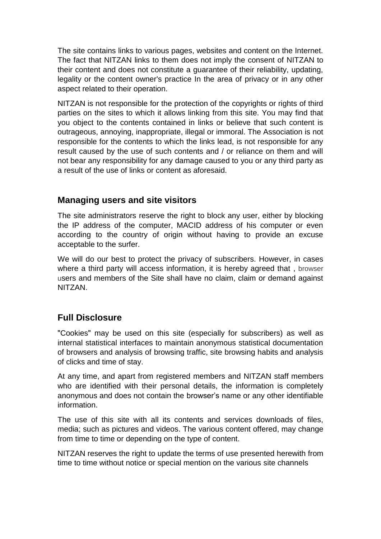The site contains links to various pages, websites and content on the Internet. The fact that NITZAN links to them does not imply the consent of NITZAN to their content and does not constitute a guarantee of their reliability, updating, legality or the content owner's practice In the area of privacy or in any other aspect related to their operation.

NITZAN is not responsible for the protection of the copyrights or rights of third parties on the sites to which it allows linking from this site. You may find that you object to the contents contained in links or believe that such content is outrageous, annoying, inappropriate, illegal or immoral. The Association is not responsible for the contents to which the links lead, is not responsible for any result caused by the use of such contents and / or reliance on them and will not bear any responsibility for any damage caused to you or any third party as a result of the use of links or content as aforesaid.

## **Managing users and site visitors**

The site administrators reserve the right to block any user, either by blocking the IP address of the computer, MACID address of his computer or even according to the country of origin without having to provide an excuse acceptable to the surfer.

We will do our best to protect the privacy of subscribers. However, in cases where a third party will access information, it is hereby agreed that , browser users and members of the Site shall have no claim, claim or demand against NITZAN.

## **Full Disclosure**

"Cookies" may be used on this site (especially for subscribers) as well as internal statistical interfaces to maintain anonymous statistical documentation of browsers and analysis of browsing traffic, site browsing habits and analysis of clicks and time of stay.

At any time, and apart from registered members and NITZAN staff members who are identified with their personal details, the information is completely anonymous and does not contain the browser's name or any other identifiable information.

The use of this site with all its contents and services downloads of files, media; such as pictures and videos. The various content offered, may change from time to time or depending on the type of content.

NITZAN reserves the right to update the terms of use presented herewith from time to time without notice or special mention on the various site channels